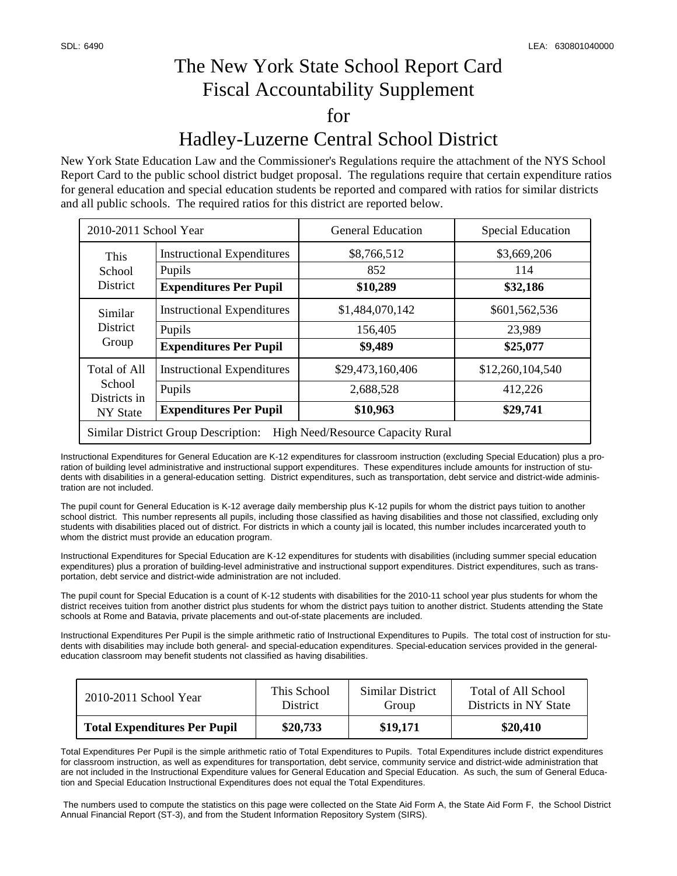## The New York State School Report Card Fiscal Accountability Supplement for Hadley-Luzerne Central School District

New York State Education Law and the Commissioner's Regulations require the attachment of the NYS School Report Card to the public school district budget proposal. The regulations require that certain expenditure ratios for general education and special education students be reported and compared with ratios for similar districts and all public schools. The required ratios for this district are reported below.

| 2010-2011 School Year                                                           |                                   | <b>General Education</b> | <b>Special Education</b> |  |  |  |
|---------------------------------------------------------------------------------|-----------------------------------|--------------------------|--------------------------|--|--|--|
| This<br>School<br><b>District</b>                                               | <b>Instructional Expenditures</b> | \$8,766,512              | \$3,669,206              |  |  |  |
|                                                                                 | Pupils                            | 852                      | 114                      |  |  |  |
|                                                                                 | <b>Expenditures Per Pupil</b>     | \$10,289                 | \$32,186                 |  |  |  |
| Similar<br><b>District</b><br>Group                                             | <b>Instructional Expenditures</b> | \$1,484,070,142          | \$601,562,536            |  |  |  |
|                                                                                 | Pupils                            | 156,405                  | 23,989                   |  |  |  |
|                                                                                 | <b>Expenditures Per Pupil</b>     | \$9,489                  | \$25,077                 |  |  |  |
| Total of All<br>School<br>Districts in<br>NY State                              | <b>Instructional Expenditures</b> | \$29,473,160,406         | \$12,260,104,540         |  |  |  |
|                                                                                 | Pupils                            | 2,688,528                | 412,226                  |  |  |  |
|                                                                                 | <b>Expenditures Per Pupil</b>     | \$10,963                 | \$29,741                 |  |  |  |
| <b>Similar District Group Description:</b><br>High Need/Resource Capacity Rural |                                   |                          |                          |  |  |  |

Instructional Expenditures for General Education are K-12 expenditures for classroom instruction (excluding Special Education) plus a proration of building level administrative and instructional support expenditures. These expenditures include amounts for instruction of students with disabilities in a general-education setting. District expenditures, such as transportation, debt service and district-wide administration are not included.

The pupil count for General Education is K-12 average daily membership plus K-12 pupils for whom the district pays tuition to another school district. This number represents all pupils, including those classified as having disabilities and those not classified, excluding only students with disabilities placed out of district. For districts in which a county jail is located, this number includes incarcerated youth to whom the district must provide an education program.

Instructional Expenditures for Special Education are K-12 expenditures for students with disabilities (including summer special education expenditures) plus a proration of building-level administrative and instructional support expenditures. District expenditures, such as transportation, debt service and district-wide administration are not included.

The pupil count for Special Education is a count of K-12 students with disabilities for the 2010-11 school year plus students for whom the district receives tuition from another district plus students for whom the district pays tuition to another district. Students attending the State schools at Rome and Batavia, private placements and out-of-state placements are included.

Instructional Expenditures Per Pupil is the simple arithmetic ratio of Instructional Expenditures to Pupils. The total cost of instruction for students with disabilities may include both general- and special-education expenditures. Special-education services provided in the generaleducation classroom may benefit students not classified as having disabilities.

| 2010-2011 School Year               | This School     | Similar District | Total of All School   |
|-------------------------------------|-----------------|------------------|-----------------------|
|                                     | <b>District</b> | Group            | Districts in NY State |
| <b>Total Expenditures Per Pupil</b> | \$20,733        | \$19,171         | \$20,410              |

Total Expenditures Per Pupil is the simple arithmetic ratio of Total Expenditures to Pupils. Total Expenditures include district expenditures for classroom instruction, as well as expenditures for transportation, debt service, community service and district-wide administration that are not included in the Instructional Expenditure values for General Education and Special Education. As such, the sum of General Education and Special Education Instructional Expenditures does not equal the Total Expenditures.

 The numbers used to compute the statistics on this page were collected on the State Aid Form A, the State Aid Form F, the School District Annual Financial Report (ST-3), and from the Student Information Repository System (SIRS).